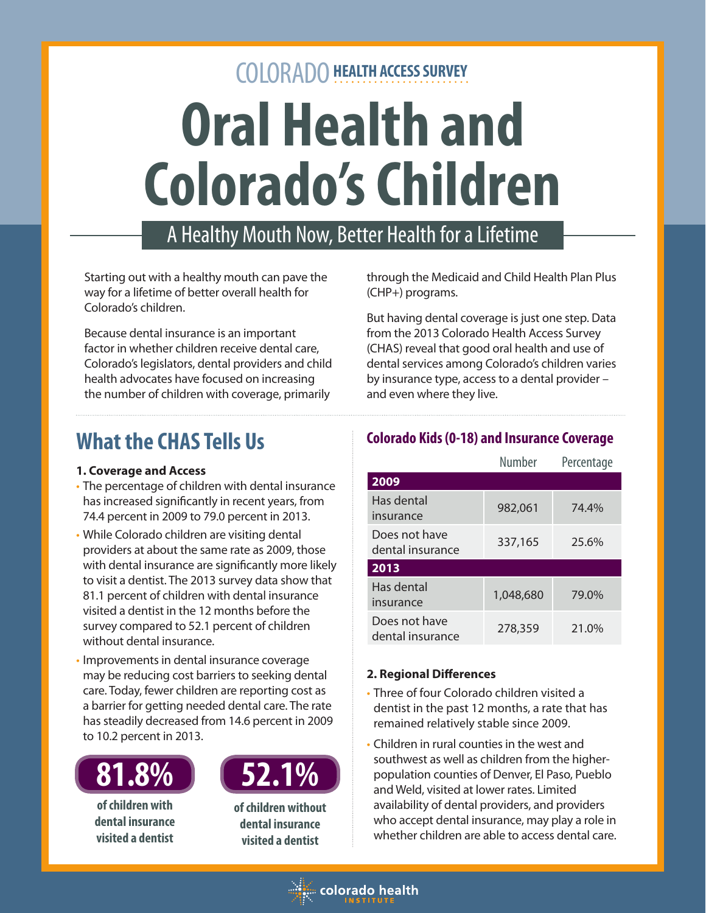# COLORADO **HEALTH ACCESS SURVEY Oral Health and Colorado's Children**

# A Healthy Mouth Now, Better Health for a Lifetime

Starting out with a healthy mouth can pave the way for a lifetime of better overall health for Colorado's children.

Because dental insurance is an important factor in whether children receive dental care, Colorado's legislators, dental providers and child health advocates have focused on increasing the number of children with coverage, primarily

# **What the CHAS Tells Us**

#### **1. Coverage and Access**

- The percentage of children with dental insurance has increased significantly in recent years, from 74.4 percent in 2009 to 79.0 percent in 2013.
- While Colorado children are visiting dental providers at about the same rate as 2009, those with dental insurance are significantly more likely to visit a dentist. The 2013 survey data show that 81.1 percent of children with dental insurance visited a dentist in the 12 months before the survey compared to 52.1 percent of children without dental insurance.
- Improvements in dental insurance coverage may be reducing cost barriers to seeking dental care. Today, fewer children are reporting cost as a barrier for getting needed dental care. The rate has steadily decreased from 14.6 percent in 2009 to 10.2 percent in 2013.



**of children with dental insurance visited a dentist**



**of children without dental insurance visited a dentist**

through the Medicaid and Child Health Plan Plus (CHP+) programs.

But having dental coverage is just one step. Data from the 2013 Colorado Health Access Survey (CHAS) reveal that good oral health and use of dental services among Colorado's children varies by insurance type, access to a dental provider – and even where they live.

### **Colorado Kids (0-18) and Insurance Coverage**

|                                   | <b>Number</b> | Percentage |
|-----------------------------------|---------------|------------|
| 2009                              |               |            |
| Has dental<br>insurance           | 982,061       | 74.4%      |
| Does not have<br>dental insurance | 337,165       | 25.6%      |
| 2013                              |               |            |
| Has dental<br>insurance           | 1,048,680     | 79.0%      |
| Does not have<br>dental insurance | 278,359       | 21.0%      |

#### **2. Regional Differences**

- Three of four Colorado children visited a dentist in the past 12 months, a rate that has remained relatively stable since 2009.
- Children in rural counties in the west and southwest as well as children from the higherpopulation counties of Denver, El Paso, Pueblo and Weld, visited at lower rates. Limited availability of dental providers, and providers who accept dental insurance, may play a role in whether children are able to access dental care.